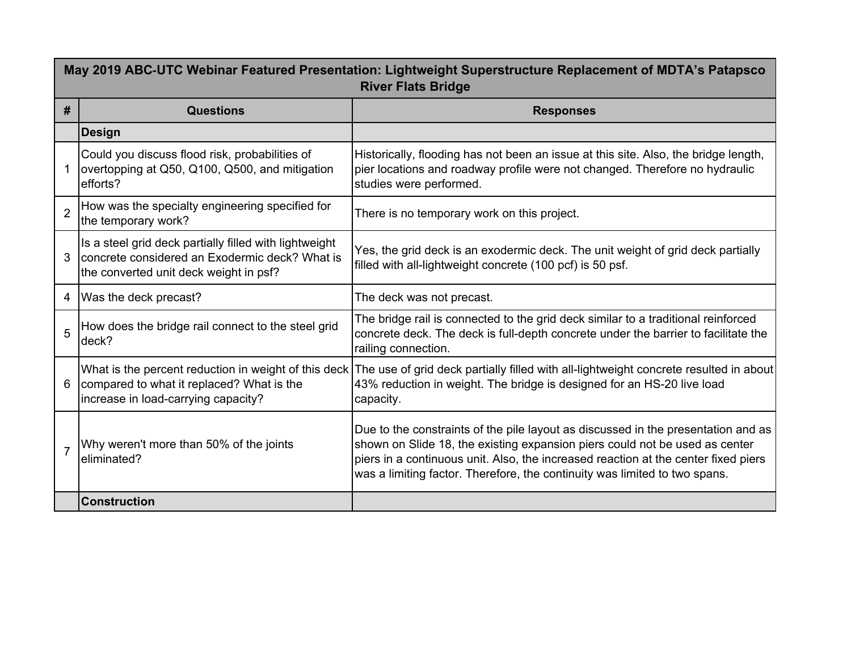| May 2019 ABC-UTC Webinar Featured Presentation: Lightweight Superstructure Replacement of MDTA's Patapsco<br><b>River Flats Bridge</b> |                                                                                                                                                    |                                                                                                                                                                                                                                                                                                                                      |
|----------------------------------------------------------------------------------------------------------------------------------------|----------------------------------------------------------------------------------------------------------------------------------------------------|--------------------------------------------------------------------------------------------------------------------------------------------------------------------------------------------------------------------------------------------------------------------------------------------------------------------------------------|
| #                                                                                                                                      | <b>Questions</b>                                                                                                                                   | <b>Responses</b>                                                                                                                                                                                                                                                                                                                     |
|                                                                                                                                        | <b>Design</b>                                                                                                                                      |                                                                                                                                                                                                                                                                                                                                      |
|                                                                                                                                        | Could you discuss flood risk, probabilities of<br>overtopping at Q50, Q100, Q500, and mitigation<br>efforts?                                       | Historically, flooding has not been an issue at this site. Also, the bridge length,<br>pier locations and roadway profile were not changed. Therefore no hydraulic<br>studies were performed.                                                                                                                                        |
| $\overline{2}$                                                                                                                         | How was the specialty engineering specified for<br>the temporary work?                                                                             | There is no temporary work on this project.                                                                                                                                                                                                                                                                                          |
| 3                                                                                                                                      | Is a steel grid deck partially filled with lightweight<br>concrete considered an Exodermic deck? What is<br>the converted unit deck weight in psf? | Yes, the grid deck is an exodermic deck. The unit weight of grid deck partially<br>filled with all-lightweight concrete (100 pcf) is 50 psf.                                                                                                                                                                                         |
| 4                                                                                                                                      | Was the deck precast?                                                                                                                              | The deck was not precast.                                                                                                                                                                                                                                                                                                            |
| 5                                                                                                                                      | How does the bridge rail connect to the steel grid<br>deck?                                                                                        | The bridge rail is connected to the grid deck similar to a traditional reinforced<br>concrete deck. The deck is full-depth concrete under the barrier to facilitate the<br>railing connection.                                                                                                                                       |
| 6                                                                                                                                      | compared to what it replaced? What is the<br>increase in load-carrying capacity?                                                                   | What is the percent reduction in weight of this deck   The use of grid deck partially filled with all-lightweight concrete resulted in about <br>43% reduction in weight. The bridge is designed for an HS-20 live load<br>capacity.                                                                                                 |
| $\overline{7}$                                                                                                                         | Why weren't more than 50% of the joints<br>eliminated?                                                                                             | Due to the constraints of the pile layout as discussed in the presentation and as<br>shown on Slide 18, the existing expansion piers could not be used as center<br>piers in a continuous unit. Also, the increased reaction at the center fixed piers<br>was a limiting factor. Therefore, the continuity was limited to two spans. |
|                                                                                                                                        | <b>Construction</b>                                                                                                                                |                                                                                                                                                                                                                                                                                                                                      |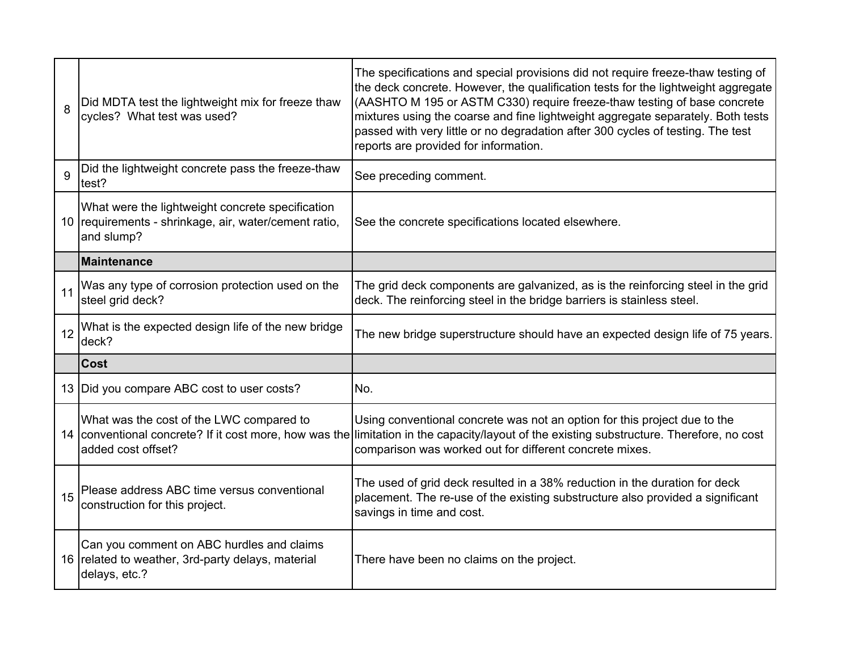| 8  | Did MDTA test the lightweight mix for freeze thaw<br>cycles? What test was used?                                        | The specifications and special provisions did not require freeze-thaw testing of<br>the deck concrete. However, the qualification tests for the lightweight aggregate<br>(AASHTO M 195 or ASTM C330) require freeze-thaw testing of base concrete<br>mixtures using the coarse and fine lightweight aggregate separately. Both tests<br>passed with very little or no degradation after 300 cycles of testing. The test<br>reports are provided for information. |
|----|-------------------------------------------------------------------------------------------------------------------------|------------------------------------------------------------------------------------------------------------------------------------------------------------------------------------------------------------------------------------------------------------------------------------------------------------------------------------------------------------------------------------------------------------------------------------------------------------------|
| 9  | Did the lightweight concrete pass the freeze-thaw<br>test?                                                              | See preceding comment.                                                                                                                                                                                                                                                                                                                                                                                                                                           |
|    | What were the lightweight concrete specification<br>10 requirements - shrinkage, air, water/cement ratio,<br>and slump? | See the concrete specifications located elsewhere.                                                                                                                                                                                                                                                                                                                                                                                                               |
|    | <b>Maintenance</b>                                                                                                      |                                                                                                                                                                                                                                                                                                                                                                                                                                                                  |
| 11 | Was any type of corrosion protection used on the<br>steel grid deck?                                                    | The grid deck components are galvanized, as is the reinforcing steel in the grid<br>deck. The reinforcing steel in the bridge barriers is stainless steel.                                                                                                                                                                                                                                                                                                       |
| 12 | What is the expected design life of the new bridge<br>deck?                                                             | The new bridge superstructure should have an expected design life of 75 years.                                                                                                                                                                                                                                                                                                                                                                                   |
|    | <b>Cost</b>                                                                                                             |                                                                                                                                                                                                                                                                                                                                                                                                                                                                  |
|    | 13   Did you compare ABC cost to user costs?                                                                            | No.                                                                                                                                                                                                                                                                                                                                                                                                                                                              |
|    | What was the cost of the LWC compared to<br>added cost offset?                                                          | Using conventional concrete was not an option for this project due to the<br>14 conventional concrete? If it cost more, how was the limitation in the capacity/layout of the existing substructure. Therefore, no cost<br>comparison was worked out for different concrete mixes.                                                                                                                                                                                |
| 15 | Please address ABC time versus conventional<br>construction for this project.                                           | The used of grid deck resulted in a 38% reduction in the duration for deck<br>placement. The re-use of the existing substructure also provided a significant<br>savings in time and cost.                                                                                                                                                                                                                                                                        |
|    | Can you comment on ABC hurdles and claims<br>16 related to weather, 3rd-party delays, material<br>delays, etc.?         | There have been no claims on the project.                                                                                                                                                                                                                                                                                                                                                                                                                        |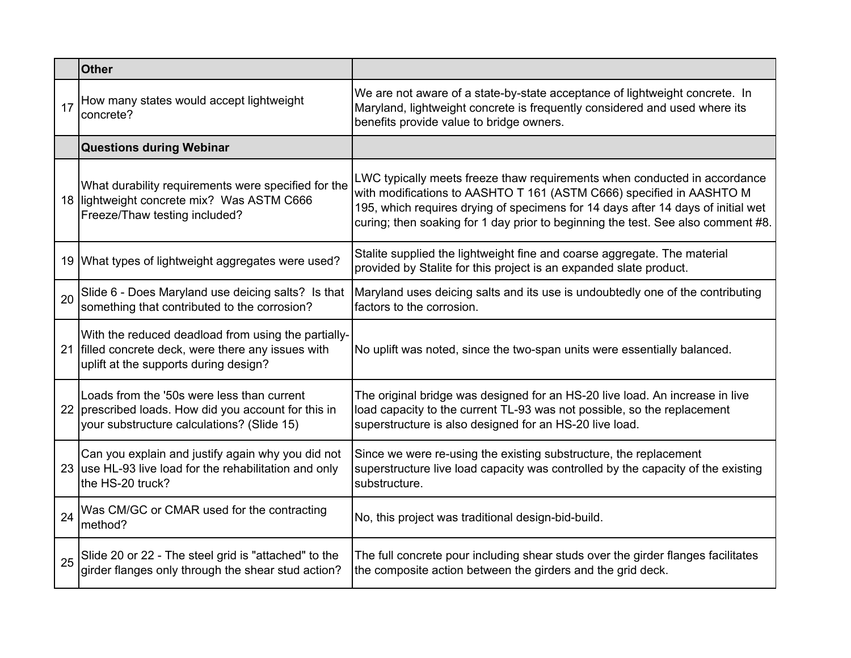|    | <b>Other</b>                                                                                                                                     |                                                                                                                                                                                                                                                                                                                           |
|----|--------------------------------------------------------------------------------------------------------------------------------------------------|---------------------------------------------------------------------------------------------------------------------------------------------------------------------------------------------------------------------------------------------------------------------------------------------------------------------------|
| 17 | How many states would accept lightweight<br>concrete?                                                                                            | We are not aware of a state-by-state acceptance of lightweight concrete. In<br>Maryland, lightweight concrete is frequently considered and used where its<br>benefits provide value to bridge owners.                                                                                                                     |
|    | <b>Questions during Webinar</b>                                                                                                                  |                                                                                                                                                                                                                                                                                                                           |
|    | What durability requirements were specified for the<br>18 lightweight concrete mix? Was ASTM C666<br>Freeze/Thaw testing included?               | LWC typically meets freeze thaw requirements when conducted in accordance<br>with modifications to AASHTO T 161 (ASTM C666) specified in AASHTO M<br>195, which requires drying of specimens for 14 days after 14 days of initial wet<br>curing; then soaking for 1 day prior to beginning the test. See also comment #8. |
|    | 19 What types of lightweight aggregates were used?                                                                                               | Stalite supplied the lightweight fine and coarse aggregate. The material<br>provided by Stalite for this project is an expanded slate product.                                                                                                                                                                            |
| 20 | Slide 6 - Does Maryland use deicing salts? Is that<br>something that contributed to the corrosion?                                               | Maryland uses deicing salts and its use is undoubtedly one of the contributing<br>factors to the corrosion.                                                                                                                                                                                                               |
| 21 | With the reduced deadload from using the partially-<br>filled concrete deck, were there any issues with<br>uplift at the supports during design? | No uplift was noted, since the two-span units were essentially balanced.                                                                                                                                                                                                                                                  |
|    | Loads from the '50s were less than current<br>22 prescribed loads. How did you account for this in<br>your substructure calculations? (Slide 15) | The original bridge was designed for an HS-20 live load. An increase in live<br>load capacity to the current TL-93 was not possible, so the replacement<br>superstructure is also designed for an HS-20 live load.                                                                                                        |
|    | Can you explain and justify again why you did not<br>23 use HL-93 live load for the rehabilitation and only<br>the HS-20 truck?                  | Since we were re-using the existing substructure, the replacement<br>superstructure live load capacity was controlled by the capacity of the existing<br>substructure.                                                                                                                                                    |
| 24 | Was CM/GC or CMAR used for the contracting<br>method?                                                                                            | No, this project was traditional design-bid-build.                                                                                                                                                                                                                                                                        |
| 25 | Slide 20 or 22 - The steel grid is "attached" to the<br>girder flanges only through the shear stud action?                                       | The full concrete pour including shear studs over the girder flanges facilitates<br>the composite action between the girders and the grid deck.                                                                                                                                                                           |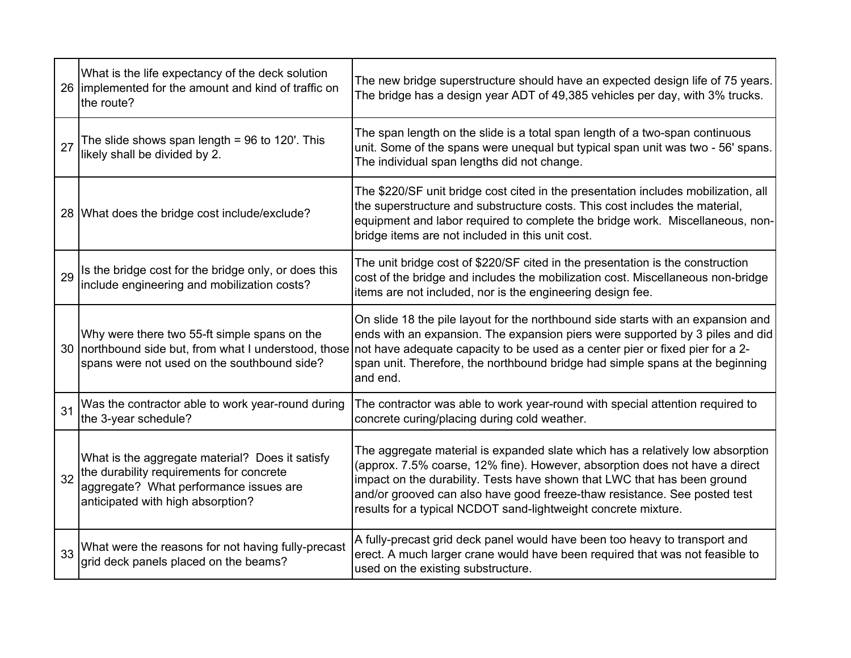|    | What is the life expectancy of the deck solution<br>26 implemented for the amount and kind of traffic on<br>the route?                                                     | The new bridge superstructure should have an expected design life of 75 years.<br>The bridge has a design year ADT of 49,385 vehicles per day, with 3% trucks.                                                                                                                                                                                                                                        |
|----|----------------------------------------------------------------------------------------------------------------------------------------------------------------------------|-------------------------------------------------------------------------------------------------------------------------------------------------------------------------------------------------------------------------------------------------------------------------------------------------------------------------------------------------------------------------------------------------------|
| 27 | The slide shows span length = $96$ to 120'. This<br>likely shall be divided by 2.                                                                                          | The span length on the slide is a total span length of a two-span continuous<br>unit. Some of the spans were unequal but typical span unit was two - 56' spans.<br>The individual span lengths did not change.                                                                                                                                                                                        |
|    | 28 What does the bridge cost include/exclude?                                                                                                                              | The \$220/SF unit bridge cost cited in the presentation includes mobilization, all<br>the superstructure and substructure costs. This cost includes the material,<br>equipment and labor required to complete the bridge work. Miscellaneous, non-<br>bridge items are not included in this unit cost.                                                                                                |
| 29 | Is the bridge cost for the bridge only, or does this<br>include engineering and mobilization costs?                                                                        | The unit bridge cost of \$220/SF cited in the presentation is the construction<br>cost of the bridge and includes the mobilization cost. Miscellaneous non-bridge<br>items are not included, nor is the engineering design fee.                                                                                                                                                                       |
|    | Why were there two 55-ft simple spans on the<br>spans were not used on the southbound side?                                                                                | On slide 18 the pile layout for the northbound side starts with an expansion and<br>ends with an expansion. The expansion piers were supported by 3 piles and did<br>30 northbound side but, from what I understood, those not have adequate capacity to be used as a center pier or fixed pier for a 2-<br>span unit. Therefore, the northbound bridge had simple spans at the beginning<br>and end. |
| 31 | Was the contractor able to work year-round during<br>the 3-year schedule?                                                                                                  | The contractor was able to work year-round with special attention required to<br>concrete curing/placing during cold weather.                                                                                                                                                                                                                                                                         |
| 32 | What is the aggregate material? Does it satisfy<br>the durability requirements for concrete<br>aggregate? What performance issues are<br>anticipated with high absorption? | The aggregate material is expanded slate which has a relatively low absorption<br>(approx. 7.5% coarse, 12% fine). However, absorption does not have a direct<br>impact on the durability. Tests have shown that LWC that has been ground<br>and/or grooved can also have good freeze-thaw resistance. See posted test<br>results for a typical NCDOT sand-lightweight concrete mixture.              |
| 33 | What were the reasons for not having fully-precast<br>grid deck panels placed on the beams?                                                                                | A fully-precast grid deck panel would have been too heavy to transport and<br>erect. A much larger crane would have been required that was not feasible to<br>used on the existing substructure.                                                                                                                                                                                                      |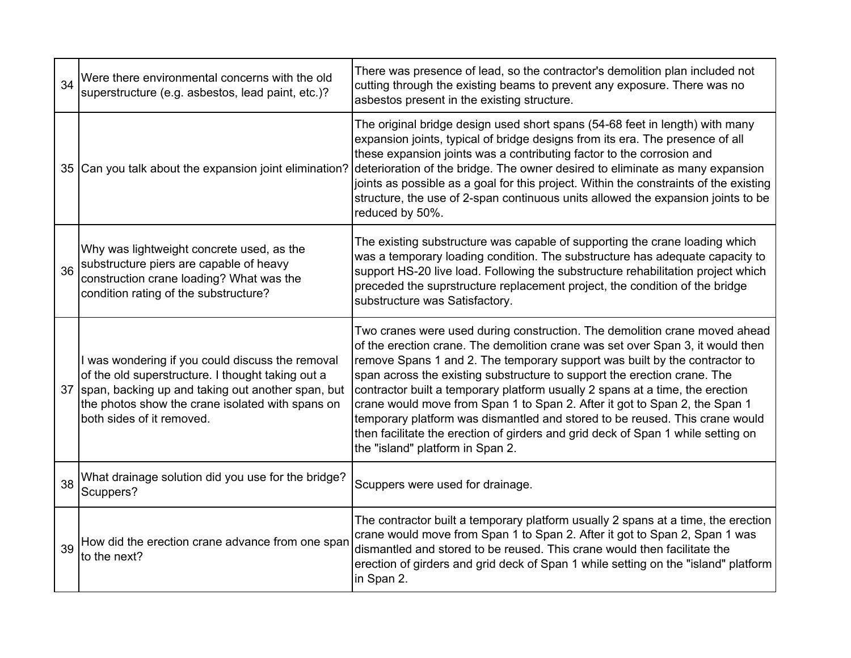| 34 | Were there environmental concerns with the old<br>superstructure (e.g. asbestos, lead paint, etc.)?                                                                                                                                         | There was presence of lead, so the contractor's demolition plan included not<br>cutting through the existing beams to prevent any exposure. There was no<br>asbestos present in the existing structure.                                                                                                                                                                                                                                                                                                                                                                                                                                                                                      |
|----|---------------------------------------------------------------------------------------------------------------------------------------------------------------------------------------------------------------------------------------------|----------------------------------------------------------------------------------------------------------------------------------------------------------------------------------------------------------------------------------------------------------------------------------------------------------------------------------------------------------------------------------------------------------------------------------------------------------------------------------------------------------------------------------------------------------------------------------------------------------------------------------------------------------------------------------------------|
|    | 35 Can you talk about the expansion joint elimination?                                                                                                                                                                                      | The original bridge design used short spans (54-68 feet in length) with many<br>expansion joints, typical of bridge designs from its era. The presence of all<br>these expansion joints was a contributing factor to the corrosion and<br>deterioration of the bridge. The owner desired to eliminate as many expansion<br>joints as possible as a goal for this project. Within the constraints of the existing<br>structure, the use of 2-span continuous units allowed the expansion joints to be<br>reduced by 50%.                                                                                                                                                                      |
| 36 | Why was lightweight concrete used, as the<br>substructure piers are capable of heavy<br>construction crane loading? What was the<br>condition rating of the substructure?                                                                   | The existing substructure was capable of supporting the crane loading which<br>was a temporary loading condition. The substructure has adequate capacity to<br>support HS-20 live load. Following the substructure rehabilitation project which<br>preceded the suprstructure replacement project, the condition of the bridge<br>substructure was Satisfactory.                                                                                                                                                                                                                                                                                                                             |
| 37 | I was wondering if you could discuss the removal<br>of the old superstructure. I thought taking out a<br>span, backing up and taking out another span, but<br>the photos show the crane isolated with spans on<br>both sides of it removed. | Two cranes were used during construction. The demolition crane moved ahead<br>of the erection crane. The demolition crane was set over Span 3, it would then<br>remove Spans 1 and 2. The temporary support was built by the contractor to<br>span across the existing substructure to support the erection crane. The<br>contractor built a temporary platform usually 2 spans at a time, the erection<br>crane would move from Span 1 to Span 2. After it got to Span 2, the Span 1<br>temporary platform was dismantled and stored to be reused. This crane would<br>then facilitate the erection of girders and grid deck of Span 1 while setting on<br>the "island" platform in Span 2. |
| 38 | What drainage solution did you use for the bridge?<br>Scuppers?                                                                                                                                                                             | Scuppers were used for drainage.                                                                                                                                                                                                                                                                                                                                                                                                                                                                                                                                                                                                                                                             |
| 39 | How did the erection crane advance from one span<br>to the next?                                                                                                                                                                            | The contractor built a temporary platform usually 2 spans at a time, the erection<br>crane would move from Span 1 to Span 2. After it got to Span 2, Span 1 was<br>dismantled and stored to be reused. This crane would then facilitate the<br>erection of girders and grid deck of Span 1 while setting on the "island" platform<br>in Span 2.                                                                                                                                                                                                                                                                                                                                              |